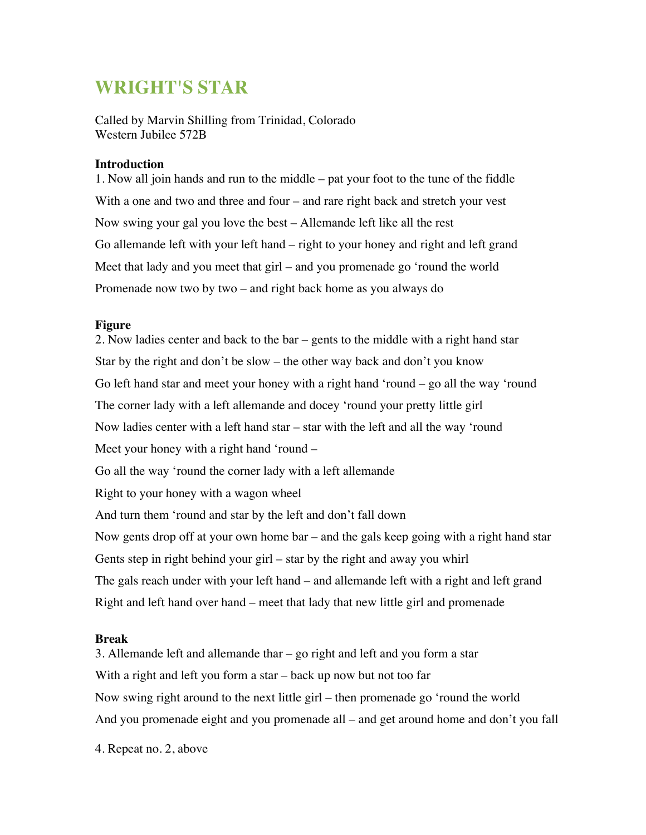# **WRIGHT'S STAR**

Called by Marvin Shilling from Trinidad, Colorado Western Jubilee 572B

#### **Introduction**

1. Now all join hands and run to the middle – pat your foot to the tune of the fiddle With a one and two and three and four – and rare right back and stretch your vest Now swing your gal you love the best – Allemande left like all the rest Go allemande left with your left hand – right to your honey and right and left grand Meet that lady and you meet that girl – and you promenade go 'round the world Promenade now two by two – and right back home as you always do

### **Figure**

2. Now ladies center and back to the bar – gents to the middle with a right hand star Star by the right and don't be slow – the other way back and don't you know Go left hand star and meet your honey with a right hand 'round – go all the way 'round The corner lady with a left allemande and docey 'round your pretty little girl Now ladies center with a left hand star – star with the left and all the way 'round Meet your honey with a right hand 'round – Go all the way 'round the corner lady with a left allemande Right to your honey with a wagon wheel And turn them 'round and star by the left and don't fall down Now gents drop off at your own home bar – and the gals keep going with a right hand star Gents step in right behind your girl – star by the right and away you whirl The gals reach under with your left hand – and allemande left with a right and left grand Right and left hand over hand – meet that lady that new little girl and promenade

#### **Break**

3. Allemande left and allemande thar – go right and left and you form a star With a right and left you form a star – back up now but not too far Now swing right around to the next little girl – then promenade go 'round the world And you promenade eight and you promenade all – and get around home and don't you fall

4. Repeat no. 2, above